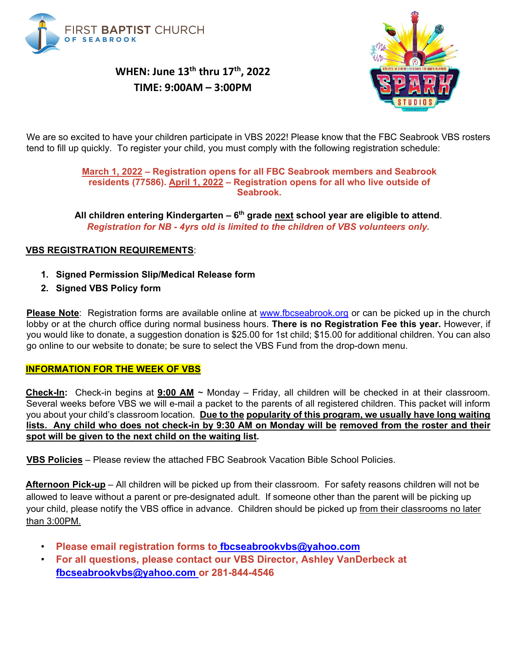

## **WHEN: June 13th thru 17th, 2022 TIME: 9:00AM – 3:00PM**



We are so excited to have your children participate in VBS 2022! Please know that the FBC Seabrook VBS rosters tend to fill up quickly. To register your child, you must comply with the following registration schedule:

#### **March 1, 2022 – Registration opens for all FBC Seabrook members and Seabrook residents (77586). April 1, 2022 – Registration opens for all who live outside of Seabrook.**

**All children entering Kindergarten – 6th grade next school year are eligible to attend**. *Registration for NB - 4yrs old is limited to the children of VBS volunteers only.*

### **VBS REGISTRATION REQUIREMENTS**:

- **1. Signed Permission Slip/Medical Release form**
- **2. Signed VBS Policy form**

**Please N[o](http://www.fbcseabrook.org/)te**: Registration forms are available online [at www.fbcseabrook.org](http://www.fbcseabrook.org/) or can be picked up in the church lobby or at the church office during normal business hours. **There is no Registration Fee this year.** However, if you would like to donate, a suggestion donation is \$25.00 for 1st child; \$15.00 for additional children. You can also go online to our website to donate; be sure to select the VBS Fund from the drop-down menu.

#### **INFORMATION FOR THE WEEK OF VBS**

**Check-In:** Check-in begins at **9:00 AM** ~ Monday – Friday, all children will be checked in at their classroom. Several weeks before VBS we will e-mail a packet to the parents of all registered children. This packet will inform you about your child's classroom location*.* **Due to the popularity of this program, we usually have long waiting lists. Any child who does not check-in by 9:30 AM on Monday will be removed from the roster and their spot will be given to the next child on the waiting list.**

**VBS Policies** – Please review the attached FBC Seabrook Vacation Bible School Policies.

**Afternoon Pick-up** – All children will be picked up from their classroom. For safety reasons children will not be allowed to leave without a parent or pre-designated adult. If someone other than the parent will be picking up your child, please notify the VBS office in advance. Children should be picked up from their classrooms no later than 3:00PM.

- **Please email registration forms to fbcseabrookvbs@yahoo.com**
- **For all questions, please contact our VBS Director, Ashley VanDerbeck at fbcseabrookvbs@yahoo.com or 281-844-4546**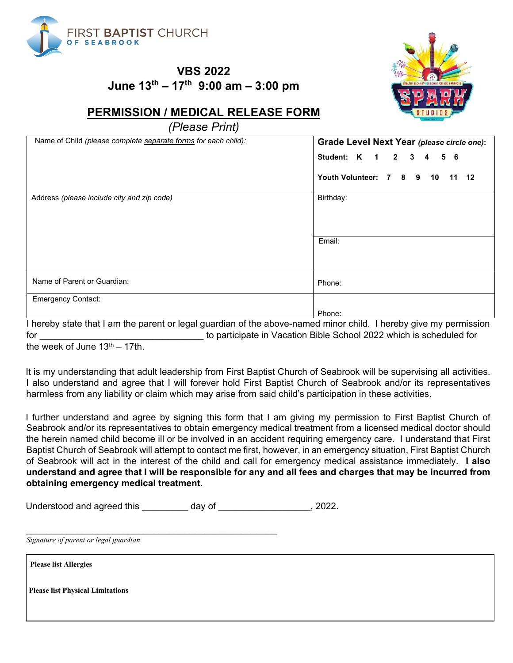

**VBS 2022 June 13th – 17th 9:00 am – 3:00 pm** 



### **PERMISSION / MEDICAL RELEASE FORM**

*(Please Print)*

| Name of Child (please complete separate forms for each child): | Grade Level Next Year (please circle one):<br>Student: K<br>$\mathbf{2}$<br>3<br>5<br>$\overline{\mathbf{1}}$<br>-6<br>4 |  |
|----------------------------------------------------------------|--------------------------------------------------------------------------------------------------------------------------|--|
|                                                                |                                                                                                                          |  |
|                                                                | Youth Volunteer: 7<br>89<br>10<br>$-12$<br>11                                                                            |  |
| Address (please include city and zip code)                     | Birthday:                                                                                                                |  |
|                                                                | Email:                                                                                                                   |  |
| Name of Parent or Guardian:                                    | Phone:                                                                                                                   |  |
| <b>Emergency Contact:</b>                                      |                                                                                                                          |  |
|                                                                | Phone:                                                                                                                   |  |

I hereby state that I am the parent or legal guardian of the above-named minor child. I hereby give my permission for the second to participate in Vacation Bible School 2022 which is scheduled for

the week of June  $13<sup>th</sup> - 17th$ .

It is my understanding that adult leadership from First Baptist Church of Seabrook will be supervising all activities. I also understand and agree that I will forever hold First Baptist Church of Seabrook and/or its representatives harmless from any liability or claim which may arise from said child's participation in these activities.

I further understand and agree by signing this form that I am giving my permission to First Baptist Church of Seabrook and/or its representatives to obtain emergency medical treatment from a licensed medical doctor should the herein named child become ill or be involved in an accident requiring emergency care. I understand that First Baptist Church of Seabrook will attempt to contact me first, however, in an emergency situation, First Baptist Church of Seabrook will act in the interest of the child and call for emergency medical assistance immediately. **I also understand and agree that I will be responsible for any and all fees and charges that may be incurred from obtaining emergency medical treatment.**

| Understood and agreed this | day of | . 2022. |
|----------------------------|--------|---------|
|----------------------------|--------|---------|

\_\_\_\_\_\_\_\_\_\_\_\_\_\_\_\_\_\_\_\_\_\_\_\_\_\_\_\_\_\_\_\_\_\_\_\_\_\_\_\_\_\_\_\_\_\_\_\_\_

*Signature of parent or legal guardian* 

**Please list Allergies**

**Please list Physical Limitations**